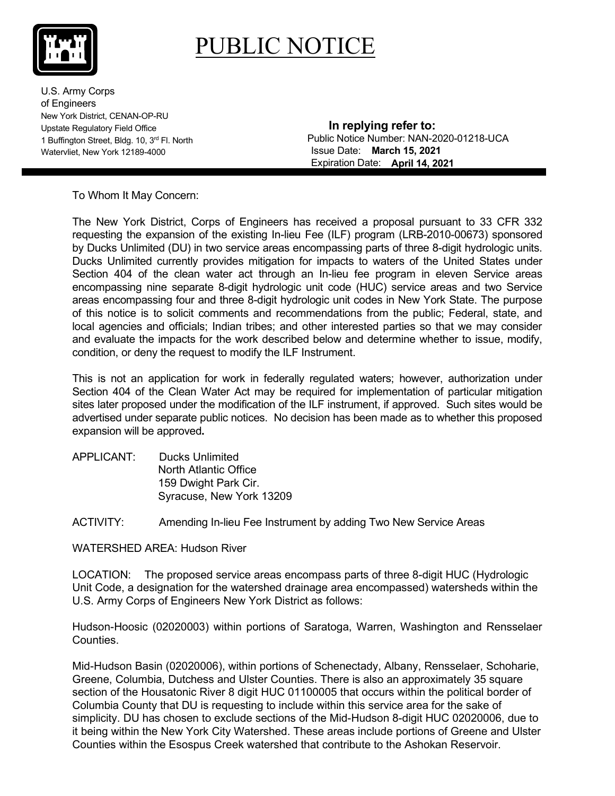## PUBLIC NOTICE

U.S. Army Corps of Engineers New York District, CENAN-OP-RU Upstate Regulatory Field Office 1 Buffington Street, Bldg. 10, 3rd Fl. North Watervliet, New York 12189-4000

 **In replying refer to:** Public Notice Number: NAN-2020-01218-UCA Expiration Date: **April 14, 2021March 15, 2021**

To Whom It May Concern:

The New York District, Corps of Engineers has received a proposal pursuant to 33 CFR 332 requesting the expansion of the existing In-lieu Fee (ILF) program (LRB-2010-00673) sponsored by Ducks Unlimited (DU) in two service areas encompassing parts of three 8-digit hydrologic units. Ducks Unlimited currently provides mitigation for impacts to waters of the United States under Section 404 of the clean water act through an In-lieu fee program in eleven Service areas encompassing nine separate 8-digit hydrologic unit code (HUC) service areas and two Service areas encompassing four and three 8-digit hydrologic unit codes in New York State. The purpose of this notice is to solicit comments and recommendations from the public; Federal, state, and local agencies and officials; Indian tribes; and other interested parties so that we may consider and evaluate the impacts for the work described below and determine whether to issue, modify, condition, or deny the request to modify the ILF Instrument.

This is not an application for work in federally regulated waters; however, authorization under Section 404 of the Clean Water Act may be required for implementation of particular mitigation sites later proposed under the modification of the ILF instrument, if approved. Such sites would be advertised under separate public notices. No decision has been made as to whether this proposed expansion will be approved**.** 

APPLICANT: Ducks Unlimited North Atlantic Office 159 Dwight Park Cir. Syracuse, New York 13209

ACTIVITY: Amending In-lieu Fee Instrument by adding Two New Service Areas

WATERSHED AREA: Hudson River

LOCATION: The proposed service areas encompass parts of three 8-digit HUC (Hydrologic Unit Code, a designation for the watershed drainage area encompassed) watersheds within the U.S. Army Corps of Engineers New York District as follows:

Hudson-Hoosic (02020003) within portions of Saratoga, Warren, Washington and Rensselaer Counties.

Mid-Hudson Basin (02020006), within portions of Schenectady, Albany, Rensselaer, Schoharie, Greene, Columbia, Dutchess and Ulster Counties. There is also an approximately 35 square section of the Housatonic River 8 digit HUC 01100005 that occurs within the political border of Columbia County that DU is requesting to include within this service area for the sake of simplicity. DU has chosen to exclude sections of the Mid-Hudson 8-digit HUC 02020006, due to it being within the New York City Watershed. These areas include portions of Greene and Ulster Counties within the Esospus Creek watershed that contribute to the Ashokan Reservoir.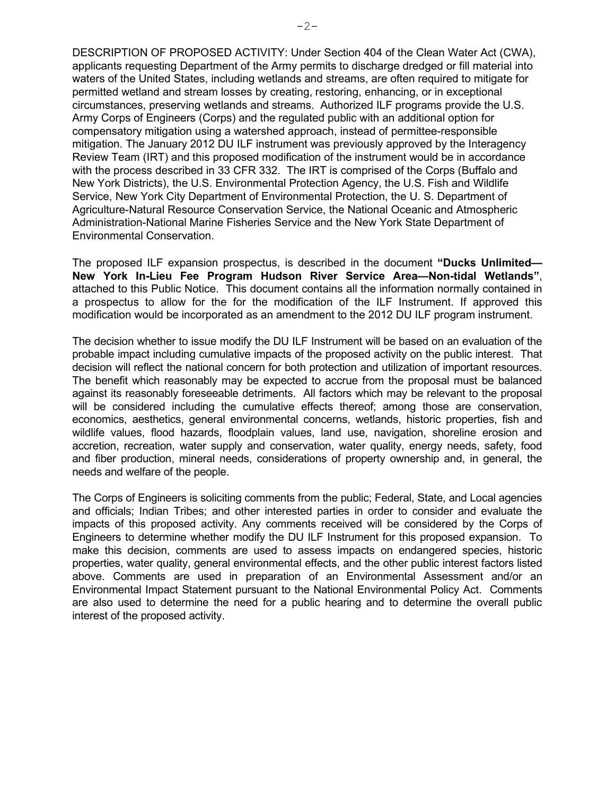DESCRIPTION OF PROPOSED ACTIVITY: Under Section 404 of the Clean Water Act (CWA), applicants requesting Department of the Army permits to discharge dredged or fill material into waters of the United States, including wetlands and streams, are often required to mitigate for permitted wetland and stream losses by creating, restoring, enhancing, or in exceptional circumstances, preserving wetlands and streams. Authorized ILF programs provide the U.S. Army Corps of Engineers (Corps) and the regulated public with an additional option for compensatory mitigation using a watershed approach, instead of permittee-responsible mitigation. The January 2012 DU ILF instrument was previously approved by the Interagency Review Team (IRT) and this proposed modification of the instrument would be in accordance with the process described in 33 CFR 332. The IRT is comprised of the Corps (Buffalo and New York Districts), the U.S. Environmental Protection Agency, the U.S. Fish and Wildlife Service, New York City Department of Environmental Protection, the U. S. Department of Agriculture-Natural Resource Conservation Service, the National Oceanic and Atmospheric Administration-National Marine Fisheries Service and the New York State Department of Environmental Conservation.

The proposed ILF expansion prospectus, is described in the document **"Ducks Unlimited— New York In-Lieu Fee Program Hudson River Service Area—Non-tidal Wetlands"**, attached to this Public Notice. This document contains all the information normally contained in a prospectus to allow for the for the modification of the ILF Instrument. If approved this modification would be incorporated as an amendment to the 2012 DU ILF program instrument.

The decision whether to issue modify the DU ILF Instrument will be based on an evaluation of the probable impact including cumulative impacts of the proposed activity on the public interest. That decision will reflect the national concern for both protection and utilization of important resources. The benefit which reasonably may be expected to accrue from the proposal must be balanced against its reasonably foreseeable detriments. All factors which may be relevant to the proposal will be considered including the cumulative effects thereof; among those are conservation, economics, aesthetics, general environmental concerns, wetlands, historic properties, fish and wildlife values, flood hazards, floodplain values, land use, navigation, shoreline erosion and accretion, recreation, water supply and conservation, water quality, energy needs, safety, food and fiber production, mineral needs, considerations of property ownership and, in general, the needs and welfare of the people.

The Corps of Engineers is soliciting comments from the public; Federal, State, and Local agencies and officials; Indian Tribes; and other interested parties in order to consider and evaluate the impacts of this proposed activity. Any comments received will be considered by the Corps of Engineers to determine whether modify the DU ILF Instrument for this proposed expansion. To make this decision, comments are used to assess impacts on endangered species, historic properties, water quality, general environmental effects, and the other public interest factors listed above. Comments are used in preparation of an Environmental Assessment and/or an Environmental Impact Statement pursuant to the National Environmental Policy Act. Comments are also used to determine the need for a public hearing and to determine the overall public interest of the proposed activity.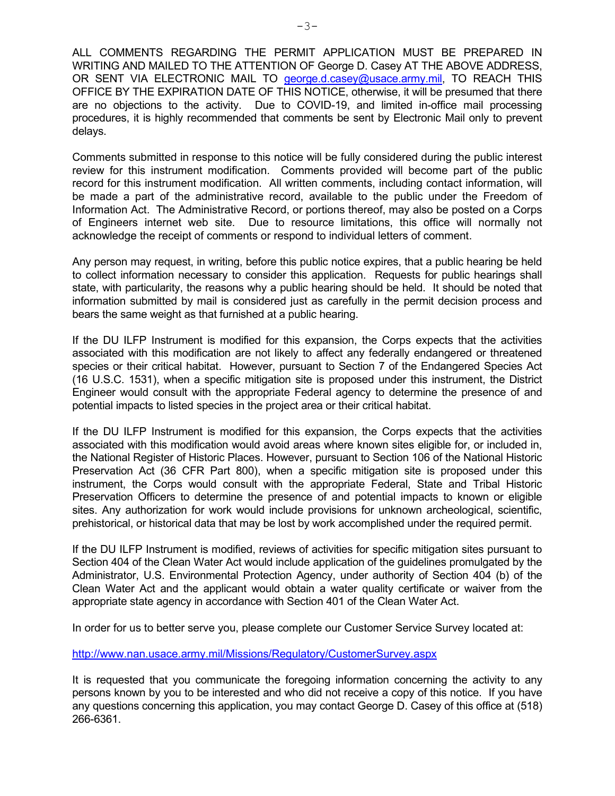ALL COMMENTS REGARDING THE PERMIT APPLICATION MUST BE PREPARED IN WRITING AND MAILED TO THE ATTENTION OF George D. Casey AT THE ABOVE ADDRESS, OR SENT VIA ELECTRONIC MAIL TO [george.d.casey@usace.army.mil,](mailto:george.d.casey@usace.army.mil) TO REACH THIS OFFICE BY THE EXPIRATION DATE OF THIS NOTICE, otherwise, it will be presumed that there are no objections to the activity. Due to COVID-19, and limited in-office mail processing procedures, it is highly recommended that comments be sent by Electronic Mail only to prevent delays.

Comments submitted in response to this notice will be fully considered during the public interest review for this instrument modification. Comments provided will become part of the public record for this instrument modification. All written comments, including contact information, will be made a part of the administrative record, available to the public under the Freedom of Information Act. The Administrative Record, or portions thereof, may also be posted on a Corps of Engineers internet web site. Due to resource limitations, this office will normally not acknowledge the receipt of comments or respond to individual letters of comment.

Any person may request, in writing, before this public notice expires, that a public hearing be held to collect information necessary to consider this application. Requests for public hearings shall state, with particularity, the reasons why a public hearing should be held. It should be noted that information submitted by mail is considered just as carefully in the permit decision process and bears the same weight as that furnished at a public hearing.

If the DU ILFP Instrument is modified for this expansion, the Corps expects that the activities associated with this modification are not likely to affect any federally endangered or threatened species or their critical habitat. However, pursuant to Section 7 of the Endangered Species Act (16 U.S.C. 1531), when a specific mitigation site is proposed under this instrument, the District Engineer would consult with the appropriate Federal agency to determine the presence of and potential impacts to listed species in the project area or their critical habitat.

If the DU ILFP Instrument is modified for this expansion, the Corps expects that the activities associated with this modification would avoid areas where known sites eligible for, or included in, the National Register of Historic Places. However, pursuant to Section 106 of the National Historic Preservation Act (36 CFR Part 800), when a specific mitigation site is proposed under this instrument, the Corps would consult with the appropriate Federal, State and Tribal Historic Preservation Officers to determine the presence of and potential impacts to known or eligible sites. Any authorization for work would include provisions for unknown archeological, scientific, prehistorical, or historical data that may be lost by work accomplished under the required permit.

If the DU ILFP Instrument is modified, reviews of activities for specific mitigation sites pursuant to Section 404 of the Clean Water Act would include application of the guidelines promulgated by the Administrator, U.S. Environmental Protection Agency, under authority of Section 404 (b) of the Clean Water Act and the applicant would obtain a water quality certificate or waiver from the appropriate state agency in accordance with Section 401 of the Clean Water Act.

In order for us to better serve you, please complete our Customer Service Survey located at:

<http://www.nan.usace.army.mil/Missions/Regulatory/CustomerSurvey.aspx>

It is requested that you communicate the foregoing information concerning the activity to any persons known by you to be interested and who did not receive a copy of this notice. If you have any questions concerning this application, you may contact George D. Casey of this office at (518) 266-6361.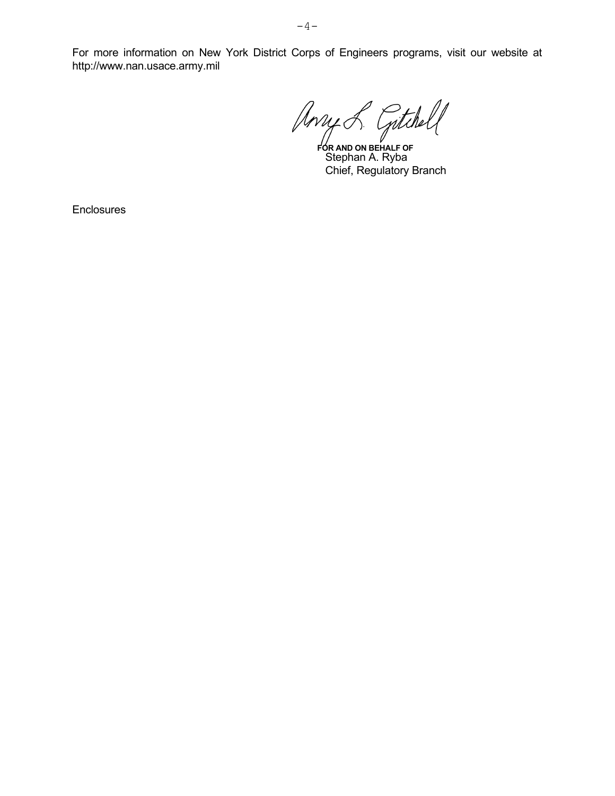Stephan A. Ryba Chief, Regulatory Branch **FOR AND ON BEHALF OF**

**Enclosures** 

http://www.nan.usace.army.mil